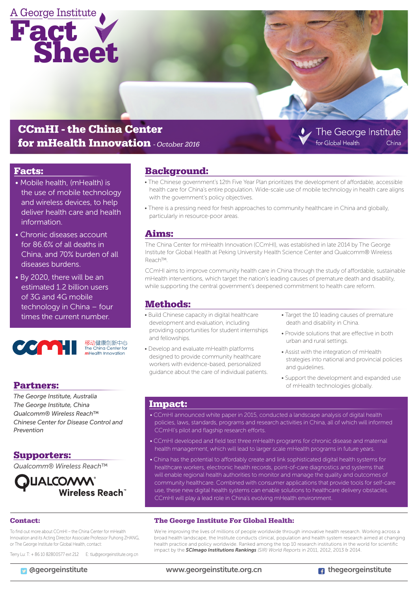

# CCmHI - the China Center for mHealth Innovation *- October 2016*

### Facts:

- Mobile health, (mHealth) is the use of mobile technology and wireless devices, to help deliver health care and health information.
- Chronic diseases account for 86.6% of all deaths in China, and 70% burden of all diseases burdens.
- By 2020, there will be an estimated 1.2 billion users of 3G and 4G mobile technology in China – four times the current number.



移动健康创新中心<br>The China Center for<br>**m**Health Innovation

### Partners:

*The George Institute, Australia The George Institute, China Qualcomm® Wireless Reach™ Chinese Center for Disease Control and Prevention*

### Supporters:

*Qualcomm® Wireless Reach™*

**ILALCO/WW**<br>"Wireless Reach

#### Contact:

To find out more about CCmHI – the China Center for mHealth Innovation and its Acting Director Associate Professor Puhong ZHANG, or The George Institute for Global Health, contact:

Terry Lu: T: + 86 10 82800577 ext 212 E: tlu@georgeinstitute.org.cn

Background:

- The Chinese government's 12th Five Year Plan prioritizes the development of affordable, accessible health care for China's entire population. Wide-scale use of mobile technology in health care aligns with the government's policy objectives.
- There is a pressing need for fresh approaches to community healthcare in China and globally, particularly in resource-poor areas.

### Aims:

The China Center for mHealth Innovation (CCmHI), was established in late 2014 by The George Institute for Global Health at Peking University Health Science Center and Qualcomm® Wireless Reach™.

CCmHI aims to improve community health care in China through the study of affordable, sustainable mHealth interventions, which target the nation's leading causes of premature death and disability, while supporting the central government's deepened commitment to health care reform.

### Methods:

- Build Chinese capacity in digital healthcare development and evaluation, including providing opportunities for student internships and fellowships.
- Develop and evaluate mHealth platforms designed to provide community healthcare workers with evidence-based, personalized guidance about the care of individual patients.
- Target the 10 leading causes of premature death and disability in China.

The George Institute

China

.<br>for Global Health

- Provide solutions that are effective in both urban and rural settings.
- Assist with the integration of mHealth strategies into national and provincial policies and guidelines.
- Support the development and expanded use of mHealth technologies globally.

#### Impact:

- CCmHI announced white paper in 2015, conducted a landscape analysis of digital health policies, laws, standards, programs and research activities in China, all of which will informed CCmHI's pilot and flagship research efforts.
- CCmHI developed and field test three mHealth programs for chronic disease and maternal health management, which will lead to larger scale mHealth programs in future years.
- China has the potential to affordably create and link sophisticated digital health systems for healthcare workers, electronic health records, point-of-care diagnostics and systems that will enable regional health authorities to monitor and manage the quality and outcomes of community healthcare. Combined with consumer applications that provide tools for self-care use, these new digital health systems can enable solutions to healthcare delivery obstacles. CCmHI will play a lead role in China's evolving mHealth environment.

#### The George Institute For Global Health:

We're improving the lives of millions of people worldwide through innovative health research. Working across a broad health landscape, the Institute conducts clinical, population and health system research aimed at changing health practice and policy worldwide. Ranked among the top 10 research institutions in the world for scientific impact by the *SCImago Institutions Rankings (SIR) World Reports* in 2011, 2012, 2013 & 2014.

**D** @georgeinstitute www.georgeinstitute.org.cn **thegeorgeinstitute**